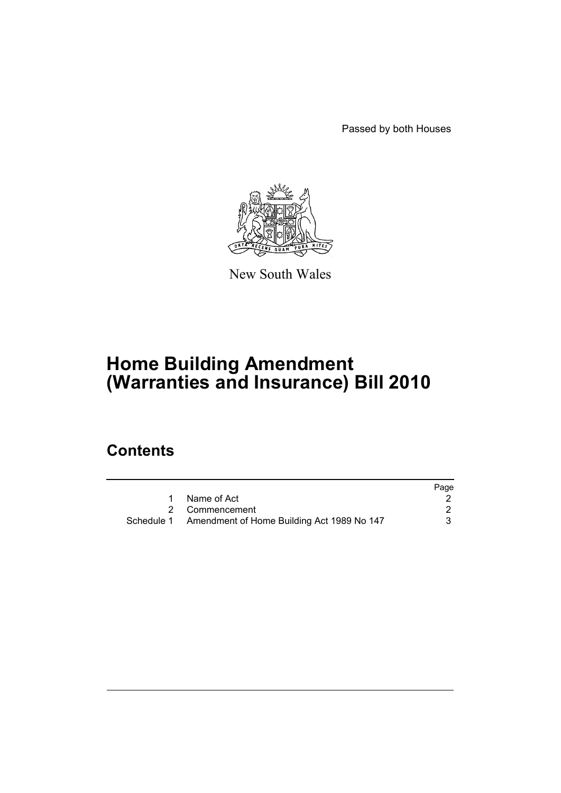Passed by both Houses



New South Wales

# **Home Building Amendment (Warranties and Insurance) Bill 2010**

# **Contents**

|                                                       | Page |
|-------------------------------------------------------|------|
| Name of Act                                           |      |
| 2 Commencement                                        |      |
| Schedule 1 Amendment of Home Building Act 1989 No 147 |      |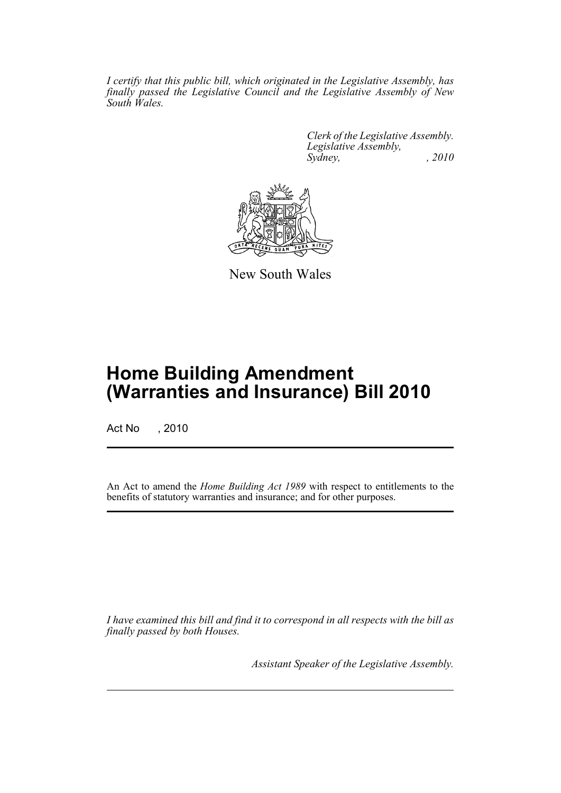*I certify that this public bill, which originated in the Legislative Assembly, has finally passed the Legislative Council and the Legislative Assembly of New South Wales.*

> *Clerk of the Legislative Assembly. Legislative Assembly, Sydney, , 2010*



New South Wales

# **Home Building Amendment (Warranties and Insurance) Bill 2010**

Act No , 2010

An Act to amend the *Home Building Act 1989* with respect to entitlements to the benefits of statutory warranties and insurance; and for other purposes.

*I have examined this bill and find it to correspond in all respects with the bill as finally passed by both Houses.*

*Assistant Speaker of the Legislative Assembly.*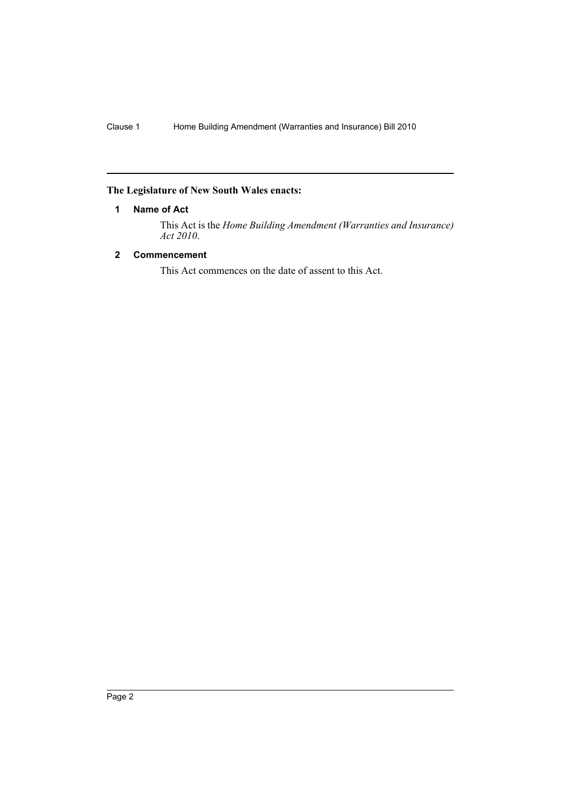# <span id="page-2-0"></span>**The Legislature of New South Wales enacts:**

# **1 Name of Act**

This Act is the *Home Building Amendment (Warranties and Insurance) Act 2010*.

# <span id="page-2-1"></span>**2 Commencement**

This Act commences on the date of assent to this Act.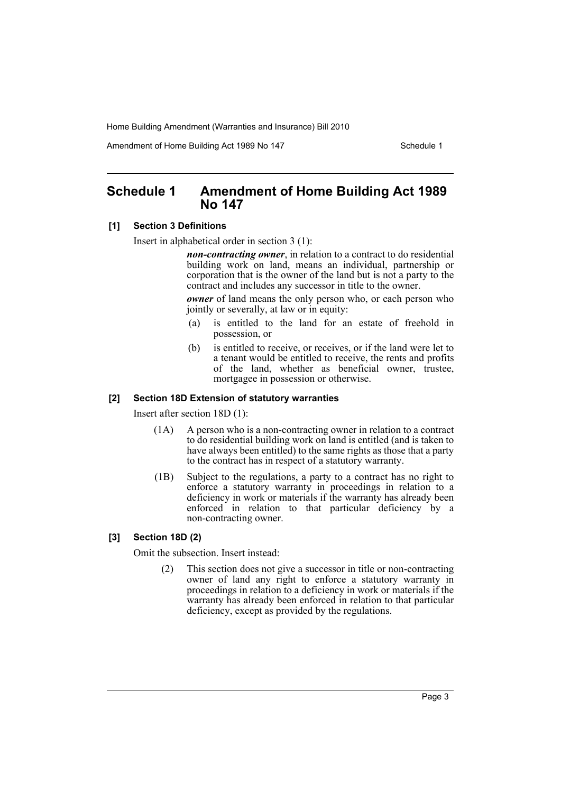Amendment of Home Building Act 1989 No 147 **Schedule 1** Schedule 1

# <span id="page-3-0"></span>**Schedule 1 Amendment of Home Building Act 1989 No 147**

#### **[1] Section 3 Definitions**

Insert in alphabetical order in section 3 (1):

*non-contracting owner*, in relation to a contract to do residential building work on land, means an individual, partnership or corporation that is the owner of the land but is not a party to the contract and includes any successor in title to the owner.

*owner* of land means the only person who, or each person who jointly or severally, at law or in equity:

- (a) is entitled to the land for an estate of freehold in possession, or
- (b) is entitled to receive, or receives, or if the land were let to a tenant would be entitled to receive, the rents and profits of the land, whether as beneficial owner, trustee, mortgagee in possession or otherwise.

## **[2] Section 18D Extension of statutory warranties**

Insert after section 18D (1):

- (1A) A person who is a non-contracting owner in relation to a contract to do residential building work on land is entitled (and is taken to have always been entitled) to the same rights as those that a party to the contract has in respect of a statutory warranty.
- (1B) Subject to the regulations, a party to a contract has no right to enforce a statutory warranty in proceedings in relation to a deficiency in work or materials if the warranty has already been enforced in relation to that particular deficiency by a non-contracting owner.

# **[3] Section 18D (2)**

Omit the subsection. Insert instead:

(2) This section does not give a successor in title or non-contracting owner of land any right to enforce a statutory warranty in proceedings in relation to a deficiency in work or materials if the warranty has already been enforced in relation to that particular deficiency, except as provided by the regulations.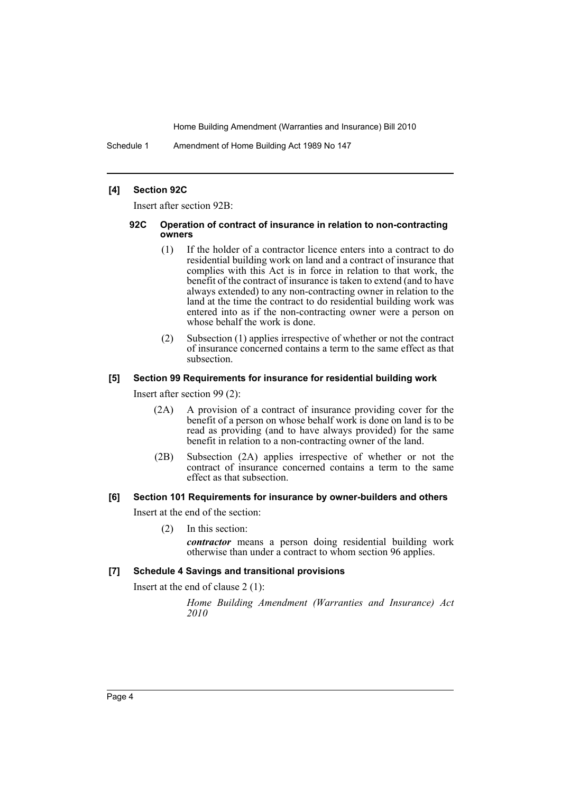Schedule 1 Amendment of Home Building Act 1989 No 147

### **[4] Section 92C**

Insert after section 92B:

#### **92C Operation of contract of insurance in relation to non-contracting owners**

- (1) If the holder of a contractor licence enters into a contract to do residential building work on land and a contract of insurance that complies with this Act is in force in relation to that work, the benefit of the contract of insurance is taken to extend (and to have always extended) to any non-contracting owner in relation to the land at the time the contract to do residential building work was entered into as if the non-contracting owner were a person on whose behalf the work is done.
- (2) Subsection (1) applies irrespective of whether or not the contract of insurance concerned contains a term to the same effect as that subsection.

#### **[5] Section 99 Requirements for insurance for residential building work**

Insert after section 99 (2):

- (2A) A provision of a contract of insurance providing cover for the benefit of a person on whose behalf work is done on land is to be read as providing (and to have always provided) for the same benefit in relation to a non-contracting owner of the land.
- (2B) Subsection (2A) applies irrespective of whether or not the contract of insurance concerned contains a term to the same effect as that subsection.

#### **[6] Section 101 Requirements for insurance by owner-builders and others**

Insert at the end of the section:

(2) In this section:

*contractor* means a person doing residential building work otherwise than under a contract to whom section 96 applies.

# **[7] Schedule 4 Savings and transitional provisions**

Insert at the end of clause 2 (1):

*Home Building Amendment (Warranties and Insurance) Act 2010*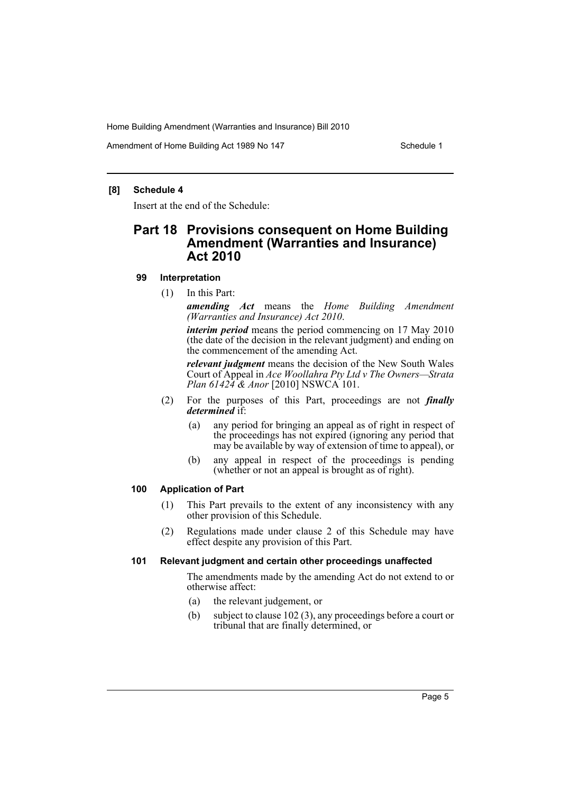Amendment of Home Building Act 1989 No 147 **Schedule 1** Schedule 1

## **[8] Schedule 4**

Insert at the end of the Schedule:

# **Part 18 Provisions consequent on Home Building Amendment (Warranties and Insurance) Act 2010**

## **99 Interpretation**

(1) In this Part:

*amending Act* means the *Home Building Amendment (Warranties and Insurance) Act 2010*.

*interim period* means the period commencing on 17 May 2010 (the date of the decision in the relevant judgment) and ending on the commencement of the amending Act.

*relevant judgment* means the decision of the New South Wales Court of Appeal in *Ace Woollahra Pty Ltd v The Owners—Strata Plan 61424 & Anor* [2010] NSWCA 101.

- (2) For the purposes of this Part, proceedings are not *finally determined* if:
	- (a) any period for bringing an appeal as of right in respect of the proceedings has not expired (ignoring any period that may be available by way of extension of time to appeal), or
	- (b) any appeal in respect of the proceedings is pending (whether or not an appeal is brought as of right).

# **100 Application of Part**

- (1) This Part prevails to the extent of any inconsistency with any other provision of this Schedule.
- (2) Regulations made under clause 2 of this Schedule may have effect despite any provision of this Part.

### **101 Relevant judgment and certain other proceedings unaffected**

The amendments made by the amending Act do not extend to or otherwise affect:

- (a) the relevant judgement, or
- (b) subject to clause 102 (3), any proceedings before a court or tribunal that are finally determined, or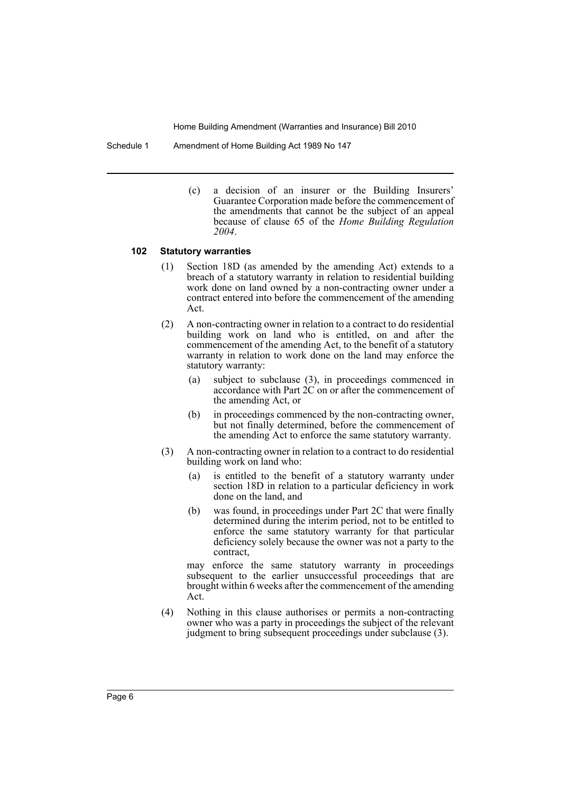Schedule 1 Amendment of Home Building Act 1989 No 147

(c) a decision of an insurer or the Building Insurers' Guarantee Corporation made before the commencement of the amendments that cannot be the subject of an appeal because of clause 65 of the *Home Building Regulation 2004*.

#### **102 Statutory warranties**

- (1) Section 18D (as amended by the amending Act) extends to a breach of a statutory warranty in relation to residential building work done on land owned by a non-contracting owner under a contract entered into before the commencement of the amending Act.
- (2) A non-contracting owner in relation to a contract to do residential building work on land who is entitled, on and after the commencement of the amending Act, to the benefit of a statutory warranty in relation to work done on the land may enforce the statutory warranty:
	- (a) subject to subclause (3), in proceedings commenced in accordance with Part 2C on or after the commencement of the amending Act, or
	- (b) in proceedings commenced by the non-contracting owner, but not finally determined, before the commencement of the amending Act to enforce the same statutory warranty.
- (3) A non-contracting owner in relation to a contract to do residential building work on land who:
	- (a) is entitled to the benefit of a statutory warranty under section 18D in relation to a particular deficiency in work done on the land, and
	- (b) was found, in proceedings under Part 2C that were finally determined during the interim period, not to be entitled to enforce the same statutory warranty for that particular deficiency solely because the owner was not a party to the contract,

may enforce the same statutory warranty in proceedings subsequent to the earlier unsuccessful proceedings that are brought within 6 weeks after the commencement of the amending Act.

(4) Nothing in this clause authorises or permits a non-contracting owner who was a party in proceedings the subject of the relevant judgment to bring subsequent proceedings under subclause (3).